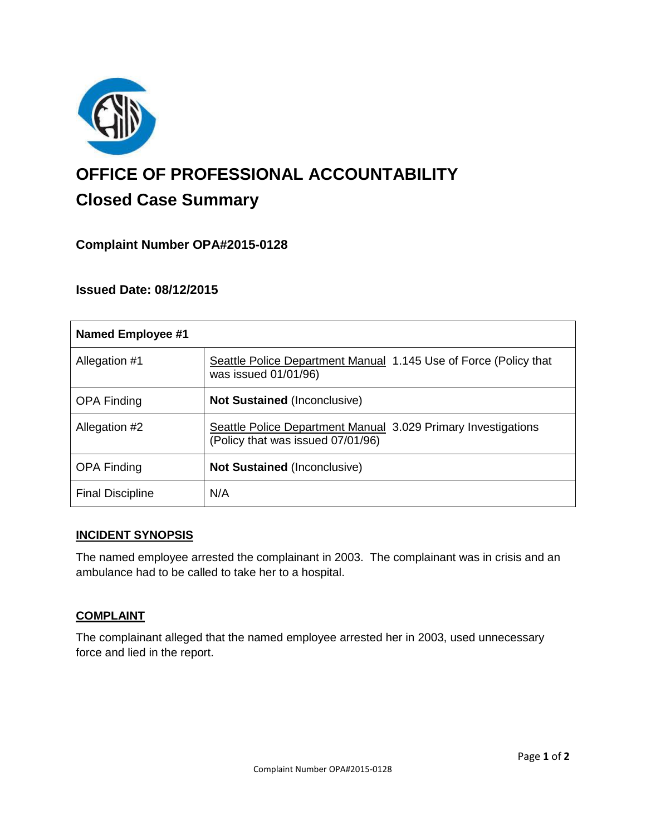

# **OFFICE OF PROFESSIONAL ACCOUNTABILITY Closed Case Summary**

## **Complaint Number OPA#2015-0128**

## **Issued Date: 08/12/2015**

| Named Employee #1       |                                                                                                    |
|-------------------------|----------------------------------------------------------------------------------------------------|
| Allegation #1           | Seattle Police Department Manual 1.145 Use of Force (Policy that<br>was issued 01/01/96)           |
| <b>OPA Finding</b>      | <b>Not Sustained (Inconclusive)</b>                                                                |
| Allegation #2           | Seattle Police Department Manual 3.029 Primary Investigations<br>(Policy that was issued 07/01/96) |
| <b>OPA Finding</b>      | <b>Not Sustained (Inconclusive)</b>                                                                |
| <b>Final Discipline</b> | N/A                                                                                                |

#### **INCIDENT SYNOPSIS**

The named employee arrested the complainant in 2003. The complainant was in crisis and an ambulance had to be called to take her to a hospital.

## **COMPLAINT**

The complainant alleged that the named employee arrested her in 2003, used unnecessary force and lied in the report.